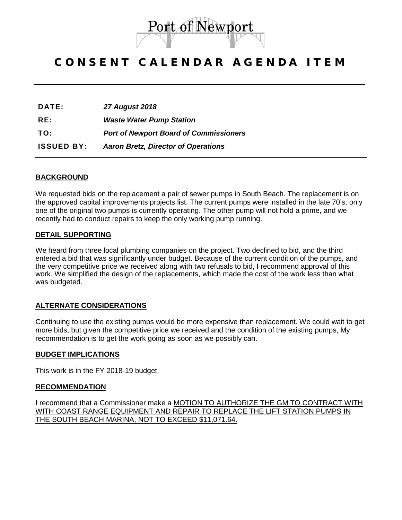

# CONSENT CALENDAR AGENDA ITEM

| DATE: | <b>27 August 2018</b> |
|-------|-----------------------|
|-------|-----------------------|

**RE:** *Waste Water Pump Station*

**TO:** *Port of Newport Board of Commissioners*

**ISSUED BY:** *Aaron Bretz, Director of Operations*

## **BACKGROUND**

We requested bids on the replacement a pair of sewer pumps in South Beach. The replacement is on the approved capital improvements projects list. The current pumps were installed in the late 70's; only one of the original two pumps is currently operating. The other pump will not hold a prime, and we recently had to conduct repairs to keep the only working pump running.

#### **DETAIL SUPPORTING**

We heard from three local plumbing companies on the project. Two declined to bid, and the third entered a bid that was significantly under budget. Because of the current condition of the pumps, and the very competitive price we received along with two refusals to bid, I recommend approval of this work. We simplified the design of the replacements, which made the cost of the work less than what was budgeted.

## **ALTERNATE CONSIDERATIONS**

Continuing to use the existing pumps would be more expensive than replacement. We could wait to get more bids, but given the competitive price we received and the condition of the existing pumps, My recommendation is to get the work going as soon as we possibly can.

#### **BUDGET IMPLICATIONS**

This work is in the FY 2018-19 budget.

#### **RECOMMENDATION**

I recommend that a Commissioner make a MOTION TO AUTHORIZE THE GM TO CONTRACT WITH WITH COAST RANGE EQUIPMENT AND REPAIR TO REPLACE THE LIFT STATION PUMPS IN THE SOUTH BEACH MARINA, NOT TO EXCEED \$11,071.64.